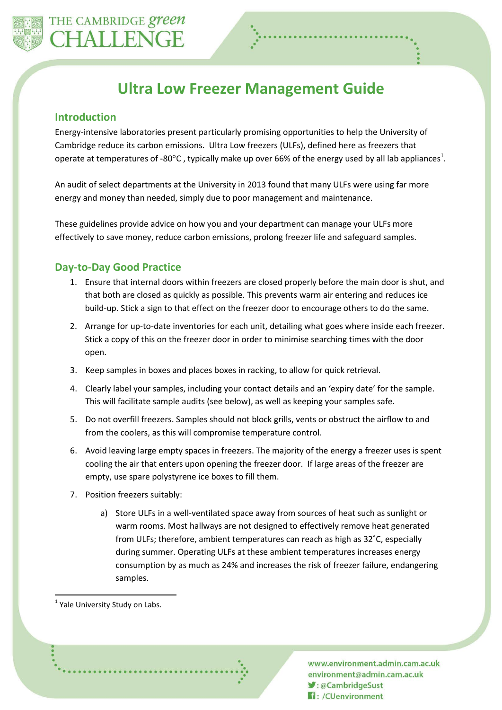

# **Ultra Low Freezer Management Guide**

#### **Introduction**

Energy-intensive laboratories present particularly promising opportunities to help the University of Cambridge reduce its carbon emissions. Ultra Low freezers (ULFs), defined here as freezers that operate at temperatures of -80°C, typically make up over 66% of the energy used by all lab appliances<sup>1</sup>.

An audit of select departments at the University in 2013 found that many ULFs were using far more energy and money than needed, simply due to poor management and maintenance.

These guidelines provide advice on how you and your department can manage your ULFs more effectively to save money, reduce carbon emissions, prolong freezer life and safeguard samples.

## **Day-to-Day Good Practice**

- 1. Ensure that internal doors within freezers are closed properly before the main door is shut, and that both are closed as quickly as possible. This prevents warm air entering and reduces ice build-up. Stick a sign to that effect on the freezer door to encourage others to do the same.
- 2. Arrange for up-to-date inventories for each unit, detailing what goes where inside each freezer. Stick a copy of this on the freezer door in order to minimise searching times with the door open.
- 3. Keep samples in boxes and places boxes in racking, to allow for quick retrieval.
- 4. Clearly label your samples, including your contact details and an 'expiry date' for the sample. This will facilitate sample audits (see below), as well as keeping your samples safe.
- 5. Do not overfill freezers. Samples should not block grills, vents or obstruct the airflow to and from the coolers, as this will compromise temperature control.
- 6. Avoid leaving large empty spaces in freezers. The majority of the energy a freezer uses is spent cooling the air that enters upon opening the freezer door. If large areas of the freezer are empty, use spare polystyrene ice boxes to fill them.
- 7. Position freezers suitably:
	- a) Store ULFs in a well-ventilated space away from sources of heat such as sunlight or warm rooms. Most hallways are not designed to effectively remove heat generated from ULFs; therefore, ambient temperatures can reach as high as 32˚C, especially during summer. Operating ULFs at these ambient temperatures increases energy consumption by as much as 24% and increases the risk of freezer failure, endangering samples.

 $\overline{a}$ 

www.environment.admin.cam.ac.uk environment@admin.cam.ac.uk ■:@CambridgeSust **H**: /CUenvironment

<sup>&</sup>lt;sup>1</sup> Yale University Study on Labs.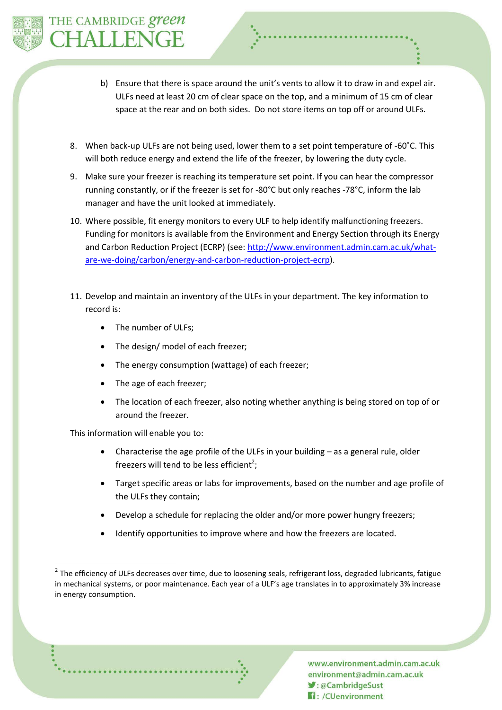

- b) Ensure that there is space around the unit's vents to allow it to draw in and expel air. ULFs need at least 20 cm of clear space on the top, and a minimum of 15 cm of clear space at the rear and on both sides. Do not store items on top off or around ULFs.
- 8. When back-up ULFs are not being used, lower them to a set point temperature of -60˚C. This will both reduce energy and extend the life of the freezer, by lowering the duty cycle.
- 9. Make sure your freezer is reaching its temperature set point. If you can hear the compressor running constantly, or if the freezer is set for -80°C but only reaches -78°C, inform the lab manager and have the unit looked at immediately.
- 10. Where possible, fit energy monitors to every ULF to help identify malfunctioning freezers. Funding for monitors is available from the Environment and Energy Section through its Energy and Carbon Reduction Project (ECRP) (see[: http://www.environment.admin.cam.ac.uk/what](http://www.environment.admin.cam.ac.uk/what-are-we-doing/carbon/energy-and-carbon-reduction-project-ecrp)[are-we-doing/carbon/energy-and-carbon-reduction-project-ecrp\)](http://www.environment.admin.cam.ac.uk/what-are-we-doing/carbon/energy-and-carbon-reduction-project-ecrp).
- 11. Develop and maintain an inventory of the ULFs in your department. The key information to record is:
	- The number of ULFs;
	- The design/ model of each freezer;
	- The energy consumption (wattage) of each freezer;
	- The age of each freezer;
	- The location of each freezer, also noting whether anything is being stored on top of or around the freezer.

This information will enable you to:

 $\overline{a}$ 

- Characterise the age profile of the ULFs in your building as a general rule, older freezers will tend to be less efficient<sup>2</sup>;
- Target specific areas or labs for improvements, based on the number and age profile of the ULFs they contain;
- Develop a schedule for replacing the older and/or more power hungry freezers;
- Identify opportunities to improve where and how the freezers are located.



 $2$  The efficiency of ULFs decreases over time, due to loosening seals, refrigerant loss, degraded lubricants, fatigue in mechanical systems, or poor maintenance. Each year of a ULF's age translates in to approximately 3% increase in energy consumption.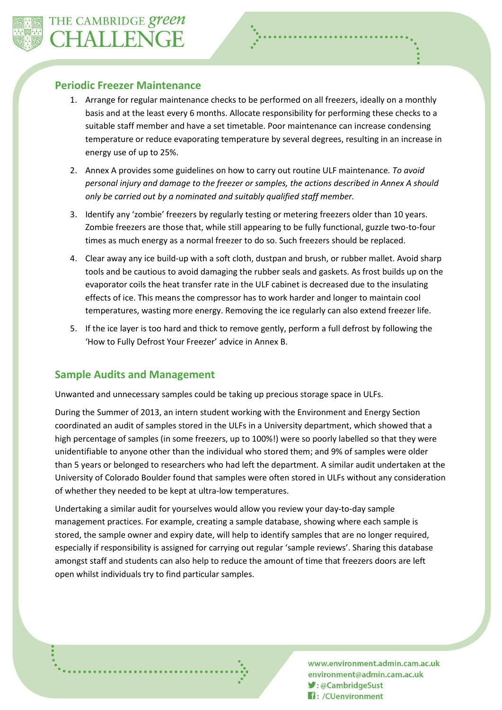## **Periodic Freezer Maintenance**

- 1. Arrange for regular maintenance checks to be performed on all freezers, ideally on a monthly basis and at the least every 6 months. Allocate responsibility for performing these checks to a suitable staff member and have a set timetable. Poor maintenance can increase condensing temperature or reduce evaporating temperature by several degrees, resulting in an increase in energy use of up to 25%.
- 2. Annex A provides some guidelines on how to carry out routine ULF maintenance*. To avoid personal injury and damage to the freezer or samples, the actions described in Annex A should only be carried out by a nominated and suitably qualified staff member.*
- 3. Identify any 'zombie' freezers by regularly testing or metering freezers older than 10 years. Zombie freezers are those that, while still appearing to be fully functional, guzzle two-to-four times as much energy as a normal freezer to do so. Such freezers should be replaced.
- 4. Clear away any ice build-up with a soft cloth, dustpan and brush, or rubber mallet. Avoid sharp tools and be cautious to avoid damaging the rubber seals and gaskets. As frost builds up on the evaporator coils the heat transfer rate in the ULF cabinet is decreased due to the insulating effects of ice. This means the compressor has to work harder and longer to maintain cool temperatures, wasting more energy. Removing the ice regularly can also extend freezer life.
- 5. If the ice layer is too hard and thick to remove gently, perform a full defrost by following the 'How to Fully Defrost Your Freezer' advice in Annex B.

## **Sample Audits and Management**

Unwanted and unnecessary samples could be taking up precious storage space in ULFs.

During the Summer of 2013, an intern student working with the Environment and Energy Section coordinated an audit of samples stored in the ULFs in a University department, which showed that a high percentage of samples (in some freezers, up to 100%!) were so poorly labelled so that they were unidentifiable to anyone other than the individual who stored them; and 9% of samples were older than 5 years or belonged to researchers who had left the department. A similar audit undertaken at the University of Colorado Boulder found that samples were often stored in ULFs without any consideration of whether they needed to be kept at ultra-low temperatures.

Undertaking a similar audit for yourselves would allow you review your day-to-day sample management practices. For example, creating a sample database, showing where each sample is stored, the sample owner and expiry date, will help to identify samples that are no longer required, especially if responsibility is assigned for carrying out regular 'sample reviews'. Sharing this database amongst staff and students can also help to reduce the amount of time that freezers doors are left open whilst individuals try to find particular samples.

> www.environment.admin.cam.ac.uk environment@admin.cam.ac.uk ■: @CambridgeSust **H**: /CUenvironment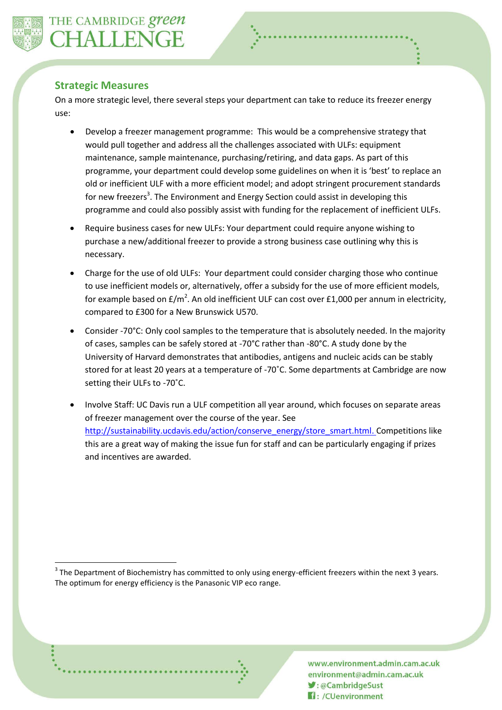

 $\overline{a}$ 

#### **Strategic Measures**

On a more strategic level, there several steps your department can take to reduce its freezer energy use:

- Develop a freezer management programme:This would be a comprehensive strategy that would pull together and address all the challenges associated with ULFs: equipment maintenance, sample maintenance, purchasing/retiring, and data gaps. As part of this programme, your department could develop some guidelines on when it is 'best' to replace an old or inefficient ULF with a more efficient model; and adopt stringent procurement standards for new freezers<sup>3</sup>. The Environment and Energy Section could assist in developing this programme and could also possibly assist with funding for the replacement of inefficient ULFs.
- Require business cases for new ULFs: Your department could require anyone wishing to purchase a new/additional freezer to provide a strong business case outlining why this is necessary.
- Charge for the use of old ULFs: Your department could consider charging those who continue to use inefficient models or, alternatively, offer a subsidy for the use of more efficient models, for example based on  $E/m^2$ . An old inefficient ULF can cost over £1,000 per annum in electricity, compared to £300 for a New Brunswick U570.
- Consider -70°C: Only cool samples to the temperature that is absolutely needed. In the majority of cases, samples can be safely stored at -70°C rather than -80°C. A study done by the University of Harvard demonstrates that antibodies, antigens and nucleic acids can be stably stored for at least 20 years at a temperature of -70˚C. Some departments at Cambridge are now setting their ULFs to -70˚C.
- Involve Staff: UC Davis run a ULF competition all year around, which focuses on separate areas of freezer management over the course of the year. See [http://sustainability.ucdavis.edu/action/conserve\\_energy/store\\_smart.html.](http://sustainability.ucdavis.edu/action/conserve_energy/store_smart.html) Competitions like this are a great way of making the issue fun for staff and can be particularly engaging if prizes and incentives are awarded.

 $3$  The Department of Biochemistry has committed to only using energy-efficient freezers within the next 3 years. The optimum for energy efficiency is the Panasonic VIP eco range.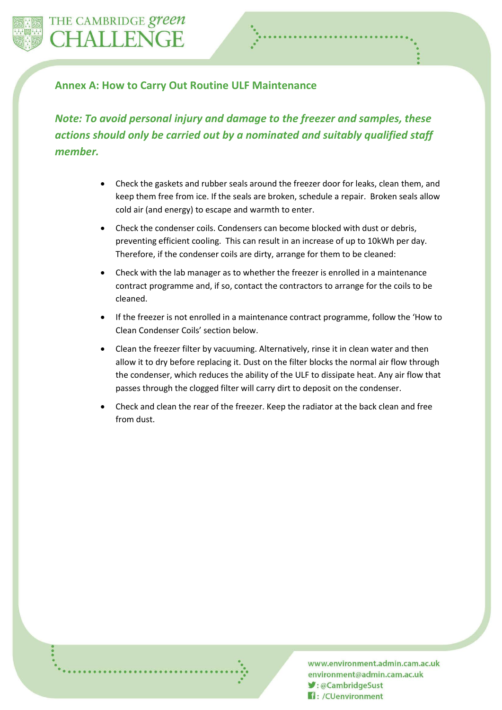

# **Annex A: How to Carry Out Routine ULF Maintenance**

*Note: To avoid personal injury and damage to the freezer and samples, these actions should only be carried out by a nominated and suitably qualified staff member.*

- Check the gaskets and rubber seals around the freezer door for leaks, clean them, and keep them free from ice. If the seals are broken, schedule a repair. Broken seals allow cold air (and energy) to escape and warmth to enter.
- Check the condenser coils. Condensers can become blocked with dust or debris, preventing efficient cooling. This can result in an increase of up to 10kWh per day. Therefore, if the condenser coils are dirty, arrange for them to be cleaned:
- Check with the lab manager as to whether the freezer is enrolled in a maintenance contract programme and, if so, contact the contractors to arrange for the coils to be cleaned.
- If the freezer is not enrolled in a maintenance contract programme, follow the 'How to Clean Condenser Coils' section below.
- Clean the freezer filter by vacuuming. Alternatively, rinse it in clean water and then allow it to dry before replacing it. Dust on the filter blocks the normal air flow through the condenser, which reduces the ability of the ULF to dissipate heat. Any air flow that passes through the clogged filter will carry dirt to deposit on the condenser.
- Check and clean the rear of the freezer. Keep the radiator at the back clean and free from dust.

www.environment.admin.cam.ac.uk environment@admin.cam.ac.uk ■: @CambridgeSust **H**: /CUenvironment